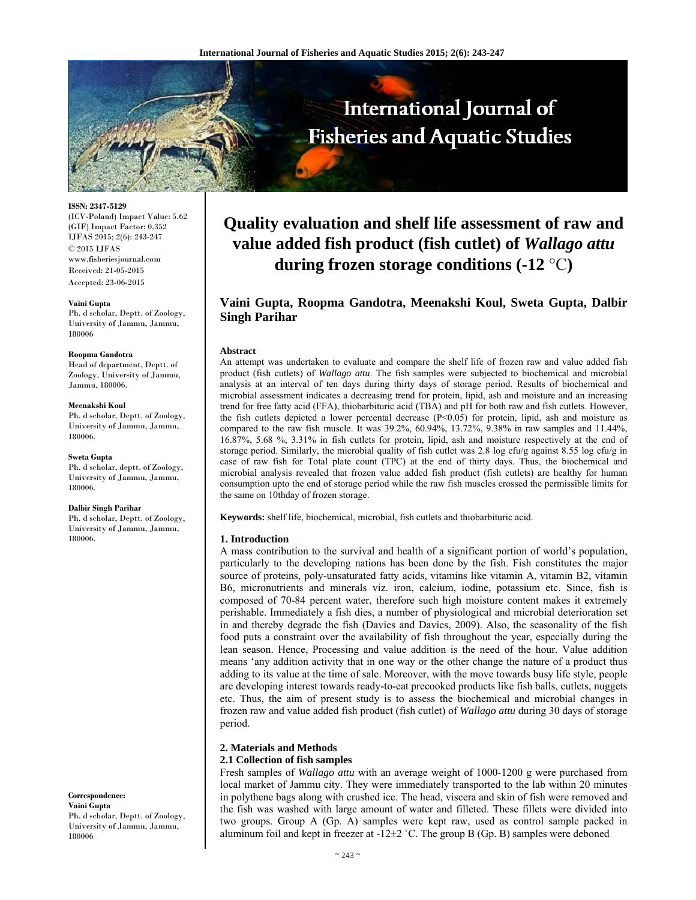

**ISSN: 2347-5129**  (ICV-Poland) Impact Value: 5.62

(GIF) Impact Factor: 0.352 IJFAS 2015; 2(6): 243-247 © 2015 IJFAS www.fisheriesjournal.com Received: 21-05-2015 Accepted: 23-06-2015

#### **Vaini Gupta**

Ph. d scholar, Deptt. of Zoology, University of Jammu, Jammu, 180006

#### **Roopma Gandotra**

Head of department, Deptt. of Zoology, University of Jammu, Jammu, 180006.

#### **Meenakshi Koul**

Ph. d scholar, Deptt. of Zoology, University of Jammu, Jammu, 180006.

#### **Sweta Gupta**

Ph. d scholar, deptt. of Zoology, University of Jammu, Jammu, 180006.

#### **Dalbir Singh Parihar**

Ph. d scholar, Deptt. of Zoology, University of Jammu, Jammu, 180006.

**Correspondence: Vaini Gupta** Ph. d scholar, Deptt. of Zoology, University of Jammu, Jammu, 180006

# **Quality evaluation and shelf life assessment of raw and value added fish product (fish cutlet) of** *Wallago attu* **during frozen storage conditions (-12** °C**)**

# **Vaini Gupta, Roopma Gandotra, Meenakshi Koul, Sweta Gupta, Dalbir Singh Parihar**

#### **Abstract**

An attempt was undertaken to evaluate and compare the shelf life of frozen raw and value added fish product (fish cutlets) of *Wallago attu*. The fish samples were subjected to biochemical and microbial analysis at an interval of ten days during thirty days of storage period. Results of biochemical and microbial assessment indicates a decreasing trend for protein, lipid, ash and moisture and an increasing trend for free fatty acid (FFA), thiobarbituric acid (TBA) and pH for both raw and fish cutlets. However, the fish cutlets depicted a lower percental decrease (P<0.05) for protein, lipid, ash and moisture as compared to the raw fish muscle. It was 39.2%, 60.94%, 13.72%, 9.38% in raw samples and 11.44%, 16.87%, 5.68 %, 3.31% in fish cutlets for protein, lipid, ash and moisture respectively at the end of storage period. Similarly, the microbial quality of fish cutlet was 2.8 log cfu/g against 8.55 log cfu/g in case of raw fish for Total plate count (TPC) at the end of thirty days. Thus, the biochemical and microbial analysis revealed that frozen value added fish product (fish cutlets) are healthy for human consumption upto the end of storage period while the raw fish muscles crossed the permissible limits for the same on 10thday of frozen storage.

**Keywords:** shelf life, biochemical, microbial, fish cutlets and thiobarbituric acid.

#### **1. Introduction**

A mass contribution to the survival and health of a significant portion of world's population, particularly to the developing nations has been done by the fish. Fish constitutes the major source of proteins, poly-unsaturated fatty acids, vitamins like vitamin A, vitamin B2, vitamin B6, micronutrients and minerals viz. iron, calcium, iodine, potassium etc. Since, fish is composed of 70-84 percent water, therefore such high moisture content makes it extremely perishable. Immediately a fish dies, a number of physiological and microbial deterioration set in and thereby degrade the fish (Davies and Davies, 2009). Also, the seasonality of the fish food puts a constraint over the availability of fish throughout the year, especially during the lean season. Hence, Processing and value addition is the need of the hour. Value addition means 'any addition activity that in one way or the other change the nature of a product thus adding to its value at the time of sale. Moreover, with the move towards busy life style, people are developing interest towards ready-to-eat precooked products like fish balls, cutlets, nuggets etc. Thus, the aim of present study is to assess the biochemical and microbial changes in frozen raw and value added fish product (fish cutlet) of *Wallago attu* during 30 days of storage period.

# **2. Materials and Methods**

#### **2.1 Collection of fish samples**

Fresh samples of *Wallago attu* with an average weight of 1000-1200 g were purchased from local market of Jammu city. They were immediately transported to the lab within 20 minutes in polythene bags along with crushed ice. The head, viscera and skin of fish were removed and the fish was washed with large amount of water and filleted. These fillets were divided into two groups. Group A (Gp. A) samples were kept raw, used as control sample packed in aluminum foil and kept in freezer at  $-12\pm2$  °C. The group B (Gp. B) samples were deboned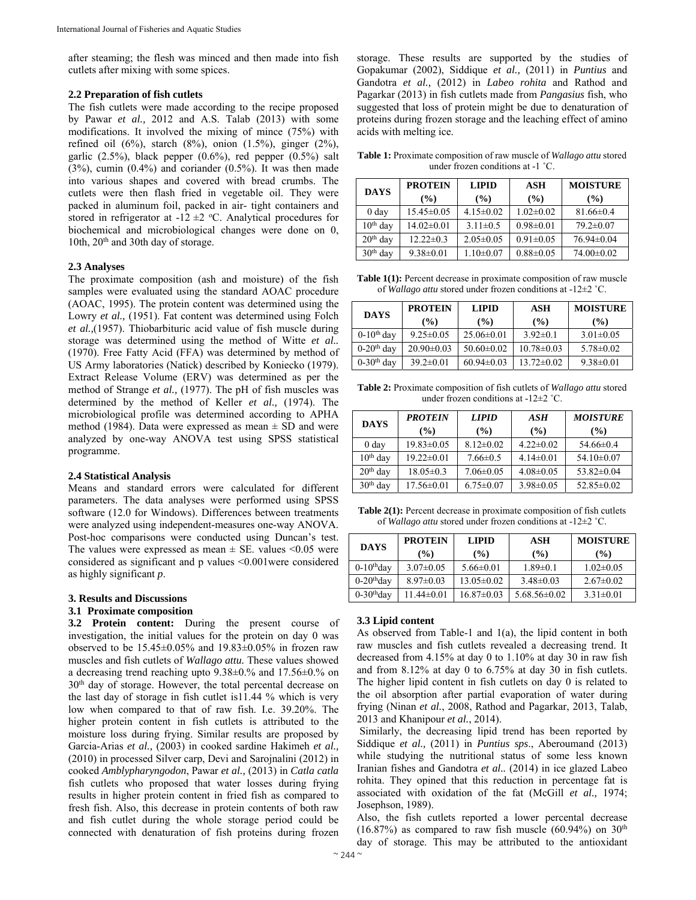after steaming; the flesh was minced and then made into fish cutlets after mixing with some spices.

# **2.2 Preparation of fish cutlets**

The fish cutlets were made according to the recipe proposed by Pawar *et al.,* 2012 and A.S. Talab (2013) with some modifications. It involved the mixing of mince (75%) with refined oil  $(6\%)$ , starch  $(8\%)$ , onion  $(1.5\%)$ , ginger  $(2\%)$ , garlic  $(2.5\%)$ , black pepper  $(0.6\%)$ , red pepper  $(0.5\%)$  salt  $(3\%)$ , cumin  $(0.4\%)$  and coriander  $(0.5\%)$ . It was then made into various shapes and covered with bread crumbs. The cutlets were then flash fried in vegetable oil. They were packed in aluminum foil, packed in air- tight containers and stored in refrigerator at  $-12 \pm 2$  °C. Analytical procedures for biochemical and microbiological changes were done on 0, 10th, 20<sup>th</sup> and 30th day of storage.

# **2.3 Analyses**

The proximate composition (ash and moisture) of the fish samples were evaluated using the standard AOAC procedure (AOAC, 1995). The protein content was determined using the Lowry *et al.*, (1951). Fat content was determined using Folch *et al.,*(1957). Thiobarbituric acid value of fish muscle during storage was determined using the method of Witte *et al..* (1970). Free Fatty Acid (FFA) was determined by method of US Army laboratories (Natick) described by Koniecko (1979). Extract Release Volume (ERV) was determined as per the method of Strange *et al.,* (1977). The pH of fish muscles was determined by the method of Keller *et al.,* (1974). The microbiological profile was determined according to APHA method (1984). Data were expressed as mean  $\pm$  SD and were analyzed by one-way ANOVA test using SPSS statistical programme.

#### **2.4 Statistical Analysis**

Means and standard errors were calculated for different parameters. The data analyses were performed using SPSS software (12.0 for Windows). Differences between treatments were analyzed using independent-measures one-way ANOVA. Post-hoc comparisons were conducted using Duncan's test. The values were expressed as mean  $\pm$  SE. values <0.05 were considered as significant and p values <0.001were considered as highly significant *p*.

#### **3. Results and Discussions**

#### **3.1 Proximate composition**

**3.2 Protein content:** During the present course of investigation, the initial values for the protein on day 0 was observed to be  $15.45\pm0.05\%$  and  $19.83\pm0.05\%$  in frozen raw muscles and fish cutlets of *Wallago attu.* These values showed a decreasing trend reaching upto 9.38±0.% and 17.56±0.% on 30th day of storage. However, the total percental decrease on the last day of storage in fish cutlet is11.44 % which is very low when compared to that of raw fish. I.e. 39.20%. The higher protein content in fish cutlets is attributed to the moisture loss during frying. Similar results are proposed by Garcia-Arias *et al.,* (2003) in cooked sardine Hakimeh *et al.,*  (2010) in processed Silver carp, Devi and Sarojnalini (2012) in cooked *Amblypharyngodon*, Pawar *et al.,* (2013) in *Catla catla* fish cutlets who proposed that water losses during frying results in higher protein content in fried fish as compared to fresh fish. Also, this decrease in protein contents of both raw and fish cutlet during the whole storage period could be connected with denaturation of fish proteins during frozen

storage. These results are supported by the studies of Gopakumar (2002), Siddique *et al.,* (2011) in *Puntius* and Gandotra *et al.,* (2012) in *Labeo rohita* and Rathod and Pagarkar (2013) in fish cutlets made from *Pangasius* fish, who suggested that loss of protein might be due to denaturation of proteins during frozen storage and the leaching effect of amino acids with melting ice.

**Table 1:** Proximate composition of raw muscle of *Wallago attu* stored under frozen conditions at -1 ˚C.

| <b>DAYS</b> | <b>PROTEIN</b><br>(%) | <b>LIPID</b><br>$($ %) | ASH<br>(%)      | <b>MOISTURE</b><br>$\frac{9}{6}$ |  |
|-------------|-----------------------|------------------------|-----------------|----------------------------------|--|
| 0 day       | $15.45 \pm 0.05$      | $4.15 \pm 0.02$        | $1.02 \pm 0.02$ | $81.66 \pm 0.4$                  |  |
| $10th$ day  | $14.02 \pm 0.01$      | $3.11 \pm 0.5$         | $0.98 \pm 0.01$ | $79.2 \pm 0.07$                  |  |
| $20th$ day  | $12.22 \pm 0.3$       | $2.05 \pm 0.05$        | $0.91 \pm 0.05$ | $76.94 \pm 0.04$                 |  |
| $30th$ day  | $9.38 \pm 0.01$       | $1.10 \pm 0.07$        | $0.88 \pm 0.05$ | $74.00 \pm 0.02$                 |  |

**Table 1(1):** Percent decrease in proximate composition of raw muscle of *Wallago attu* stored under frozen conditions at -12±2 ˚C.

| <b>DAYS</b>              | <b>PROTEIN</b><br><b>LIPID</b> |                  | ASH              | <b>MOISTURE</b> |  |
|--------------------------|--------------------------------|------------------|------------------|-----------------|--|
|                          | $($ %)                         | $($ %)           | (%)              | (%)             |  |
| $0-10$ <sup>th</sup> day | $9.25 \pm 0.05$                | $25.06\pm0.01$   | $3.92 \pm 0.1$   | $3.01 \pm 0.05$ |  |
| $0-20$ <sup>th</sup> day | $20.90 \pm 0.03$               | $50.60 \pm 0.02$ | $10.78 \pm 0.03$ | $5.78 \pm 0.02$ |  |
| $0-30$ <sup>th</sup> day | $39.2 \pm 0.01$                | $60.94\pm0.03$   | $13.72 \pm 0.02$ | $9.38 \pm 0.01$ |  |

**Table 2:** Proximate composition of fish cutlets of *Wallago attu* stored under frozen conditions at -12±2 ˚C.

| <b>DAYS</b>      | <b>PROTEIN</b><br>$($ %) | <b>LIPID</b><br>$($ %) | ASH<br>(%)      | <b>MOISTURE</b><br>$($ %) |  |
|------------------|--------------------------|------------------------|-----------------|---------------------------|--|
| 0 <sub>day</sub> | $19.83 \pm 0.05$         | $8.12 \pm 0.02$        | $4.22 \pm 0.02$ | $54.66 \pm 0.4$           |  |
| $10th$ day       | $19.22 \pm 0.01$         | $7.66 \pm 0.5$         | $4.14\pm0.01$   | $54.10 \pm 0.07$          |  |
| $20th$ day       | $18.05 \pm 0.3$          | $7.06 \pm 0.05$        | $4.08 \pm 0.05$ | $53.82 \pm 0.04$          |  |
| $30th$ day       | $17.56 \pm 0.01$         | $6.75 \pm 0.07$        | $3.98 \pm 0.05$ | $52.85\pm0.02$            |  |

**Table 2(1):** Percent decrease in proximate composition of fish cutlets of *Wallago attu* stored under frozen conditions at -12±2 ˚C.

| <b>DAYS</b>              | <b>PROTEIN</b>  | <b>LIPID</b>     | ASH              | <b>MOISTURE</b> |  |
|--------------------------|-----------------|------------------|------------------|-----------------|--|
|                          | $($ %)          | (%)              | (%)              | (%)             |  |
| $0-10$ <sup>th</sup> day | $3.07 \pm 0.05$ | $5.66 \pm 0.01$  | $1.89 \pm 0.1$   | $1.02 \pm 0.05$ |  |
| $0-20$ <sup>th</sup> day | $8.97 \pm 0.03$ | $13.05 \pm 0.02$ | $3.48\pm0.03$    | $2.67 \pm 0.02$ |  |
| $0-30$ <sup>th</sup> day | 11.44±0.01      | $16.87\pm0.03$   | $5.68.56\pm0.02$ | $3.31 \pm 0.01$ |  |

#### **3.3 Lipid content**

As observed from Table-1 and 1(a), the lipid content in both raw muscles and fish cutlets revealed a decreasing trend. It decreased from 4.15% at day 0 to 1.10% at day 30 in raw fish and from 8.12% at day 0 to 6.75% at day 30 in fish cutlets. The higher lipid content in fish cutlets on day 0 is related to the oil absorption after partial evaporation of water during frying (Ninan *et al.*, 2008, Rathod and Pagarkar, 2013, Talab, 2013 and Khanipour *et al.*, 2014).

 Similarly, the decreasing lipid trend has been reported by Siddique *et al.,* (2011) in *Puntius sps*., Aberoumand (2013) while studying the nutritional status of some less known Iranian fishes and Gandotra *et al..* (2014) in ice glazed Labeo rohita. They opined that this reduction in percentage fat is associated with oxidation of the fat (McGill *et al.,* 1974; Josephson, 1989).

Also, the fish cutlets reported a lower percental decrease  $(16.87%)$  as compared to raw fish muscle  $(60.94%)$  on  $30<sup>th</sup>$ day of storage. This may be attributed to the antioxidant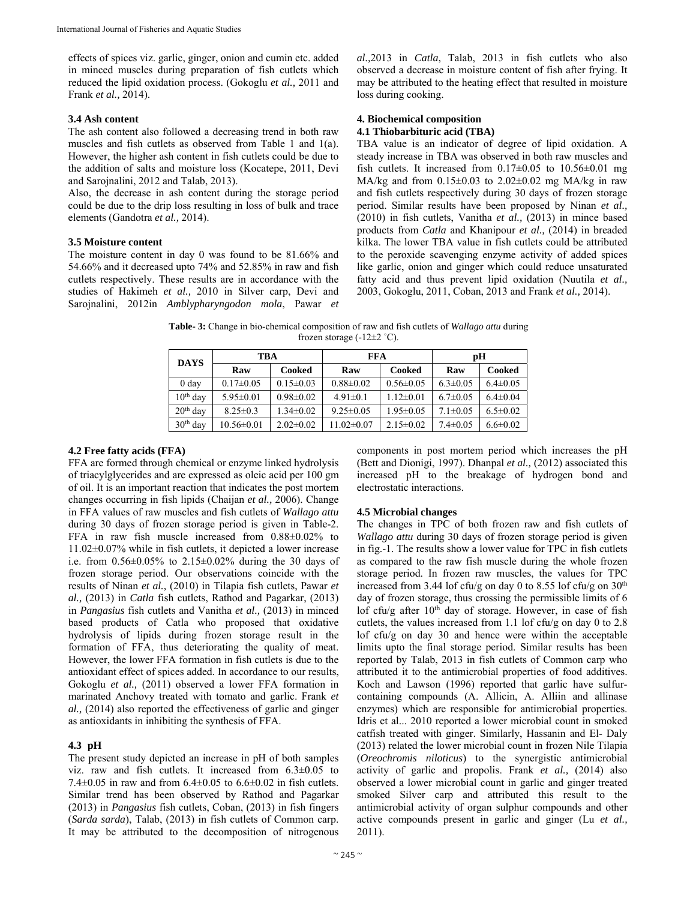effects of spices viz. garlic, ginger, onion and cumin etc. added in minced muscles during preparation of fish cutlets which reduced the lipid oxidation process. (Gokoglu *et al.,* 2011 and Frank *et al.,* 2014).

# **3.4 Ash content**

The ash content also followed a decreasing trend in both raw muscles and fish cutlets as observed from Table 1 and 1(a). However, the higher ash content in fish cutlets could be due to the addition of salts and moisture loss (Kocatepe, 2011, Devi and Sarojnalini, 2012 and Talab, 2013).

Also, the decrease in ash content during the storage period could be due to the drip loss resulting in loss of bulk and trace elements (Gandotra *et al.,* 2014).

# **3.5 Moisture content**

The moisture content in day 0 was found to be 81.66% and 54.66% and it decreased upto 74% and 52.85% in raw and fish cutlets respectively. These results are in accordance with the studies of Hakimeh *et al.,* 2010 in Silver carp, Devi and Sarojnalini, 2012in *Amblypharyngodon mola*, Pawar *et* 

*al.,*2013 in *Catla*, Talab, 2013 in fish cutlets who also observed a decrease in moisture content of fish after frying. It may be attributed to the heating effect that resulted in moisture loss during cooking.

#### **4. Biochemical composition 4.1 Thiobarbituric acid (TBA)**

TBA value is an indicator of degree of lipid oxidation. A steady increase in TBA was observed in both raw muscles and fish cutlets. It increased from  $0.17\pm0.05$  to  $10.56\pm0.01$  mg MA/kg and from  $0.15\pm0.03$  to  $2.02\pm0.02$  mg MA/kg in raw and fish cutlets respectively during 30 days of frozen storage period. Similar results have been proposed by Ninan *et al.,* (2010) in fish cutlets, Vanitha *et al.,* (2013) in mince based products from *Catla* and Khanipour *et al.,* (2014) in breaded kilka. The lower TBA value in fish cutlets could be attributed to the peroxide scavenging enzyme activity of added spices like garlic, onion and ginger which could reduce unsaturated fatty acid and thus prevent lipid oxidation (Nuutila *et al.,*  2003, Gokoglu, 2011, Coban, 2013 and Frank *et al.,* 2014).

**Table- 3:** Change in bio-chemical composition of raw and fish cutlets of *Wallago attu* during frozen storage  $(-12 \pm 2 \degree C)$ .

| <b>DAYS</b>      | TBA              |                 | FFA              |                 | рH             |                |
|------------------|------------------|-----------------|------------------|-----------------|----------------|----------------|
|                  | Raw              | Cooked          | Raw              | Cooked          | Raw            | Cooked         |
| 0 <sub>day</sub> | $0.17 \pm 0.05$  | $0.15 \pm 0.03$ | $0.88 \pm 0.02$  | $0.56 \pm 0.05$ | $6.3 \pm 0.05$ | $6.4 \pm 0.05$ |
| $10th$ day       | $5.95 \pm 0.01$  | $0.98 \pm 0.02$ | $4.91 \pm 0.1$   | $1.12 \pm 0.01$ | $6.7 \pm 0.05$ | $6.4 \pm 0.04$ |
| $20th$ day       | $8.25 \pm 0.3$   | $1.34 \pm 0.02$ | $9.25 \pm 0.05$  | $1.95 \pm 0.05$ | $7.1 \pm 0.05$ | $6.5 \pm 0.02$ |
| $30th$ day       | $10.56 \pm 0.01$ | $2.02 \pm 0.02$ | $11.02 \pm 0.07$ | $2.15 \pm 0.02$ | $7.4 \pm 0.05$ | $6.6 \pm 0.02$ |

# **4.2 Free fatty acids (FFA)**

FFA are formed through chemical or enzyme linked hydrolysis of triacylglycerides and are expressed as oleic acid per 100 gm of oil. It is an important reaction that indicates the post mortem changes occurring in fish lipids (Chaijan *et al.,* 2006). Change in FFA values of raw muscles and fish cutlets of *Wallago attu* during 30 days of frozen storage period is given in Table-2. FFA in raw fish muscle increased from 0.88±0.02% to 11.02±0.07% while in fish cutlets, it depicted a lower increase i.e. from 0.56±0.05% to 2.15±0.02% during the 30 days of frozen storage period. Our observations coincide with the results of Ninan *et al.,* (2010) in Tilapia fish cutlets, Pawar *et al.,* (2013) in *Catla* fish cutlets, Rathod and Pagarkar, (2013) in *Pangasius* fish cutlets and Vanitha *et al.,* (2013) in minced based products of Catla who proposed that oxidative hydrolysis of lipids during frozen storage result in the formation of FFA, thus deteriorating the quality of meat. However, the lower FFA formation in fish cutlets is due to the antioxidant effect of spices added. In accordance to our results, Gokoglu *et al.,* (2011) observed a lower FFA formation in marinated Anchovy treated with tomato and garlic. Frank *et al.,* (2014) also reported the effectiveness of garlic and ginger as antioxidants in inhibiting the synthesis of FFA.

# **4.3 pH**

The present study depicted an increase in pH of both samples viz. raw and fish cutlets. It increased from  $6.3\pm0.05$  to 7.4 $\pm$ 0.05 in raw and from 6.4 $\pm$ 0.05 to 6.6 $\pm$ 0.02 in fish cutlets. Similar trend has been observed by Rathod and Pagarkar (2013) in *Pangasius* fish cutlets, Coban, (2013) in fish fingers (*Sarda sarda*), Talab, (2013) in fish cutlets of Common carp. It may be attributed to the decomposition of nitrogenous

components in post mortem period which increases the pH (Bett and Dionigi, 1997). Dhanpal *et al.,* (2012) associated this increased pH to the breakage of hydrogen bond and electrostatic interactions.

# **4.5 Microbial changes**

The changes in TPC of both frozen raw and fish cutlets of *Wallago attu* during 30 days of frozen storage period is given in fig.-1. The results show a lower value for TPC in fish cutlets as compared to the raw fish muscle during the whole frozen storage period. In frozen raw muscles, the values for TPC increased from 3.44 lof cfu/g on day 0 to 8.55 lof cfu/g on  $30<sup>th</sup>$ day of frozen storage, thus crossing the permissible limits of 6 lof cfu/g after  $10<sup>th</sup>$  day of storage. However, in case of fish cutlets, the values increased from 1.1 lof cfu/g on day 0 to 2.8 lof cfu/g on day 30 and hence were within the acceptable limits upto the final storage period. Similar results has been reported by Talab, 2013 in fish cutlets of Common carp who attributed it to the antimicrobial properties of food additives. Koch and Lawson (1996) reported that garlic have sulfurcontaining compounds (A. Allicin, A. Alliin and allinase enzymes) which are responsible for antimicrobial properties. Idris et al... 2010 reported a lower microbial count in smoked catfish treated with ginger. Similarly, Hassanin and El- Daly (2013) related the lower microbial count in frozen Nile Tilapia (*Oreochromis niloticus*) to the synergistic antimicrobial activity of garlic and propolis. Frank *et al.,* (2014) also observed a lower microbial count in garlic and ginger treated smoked Silver carp and attributed this result to the antimicrobial activity of organ sulphur compounds and other active compounds present in garlic and ginger (Lu *et al.,* 2011).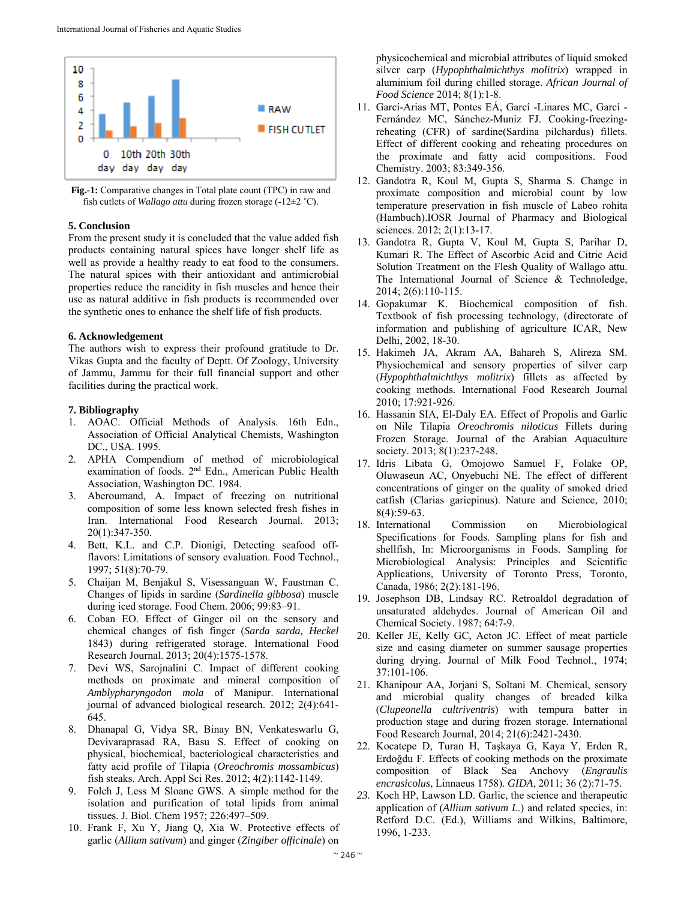

**Fig.-1:** Comparative changes in Total plate count (TPC) in raw and fish cutlets of *Wallago attu* during frozen storage (-12±2 ˚C).

# **5. Conclusion**

From the present study it is concluded that the value added fish products containing natural spices have longer shelf life as well as provide a healthy ready to eat food to the consumers. The natural spices with their antioxidant and antimicrobial properties reduce the rancidity in fish muscles and hence their use as natural additive in fish products is recommended over the synthetic ones to enhance the shelf life of fish products.

# **6. Acknowledgement**

The authors wish to express their profound gratitude to Dr. Vikas Gupta and the faculty of Deptt. Of Zoology, University of Jammu, Jammu for their full financial support and other facilities during the practical work.

# **7. Bibliography**

- 1. AOAC. Official Methods of Analysis. 16th Edn., Association of Official Analytical Chemists, Washington DC., USA. 1995.
- 2. APHA Compendium of method of microbiological examination of foods. 2nd Edn., American Public Health Association, Washington DC. 1984.
- 3. Aberoumand, A. Impact of freezing on nutritional composition of some less known selected fresh fishes in Iran. International Food Research Journal. 2013; 20(1):347-350.
- 4. Bett, K.L. and C.P. Dionigi, Detecting seafood offflavors: Limitations of sensory evaluation. Food Technol., 1997; 51(8):70-79.
- 5. Chaijan M, Benjakul S, Visessanguan W, Faustman C. Changes of lipids in sardine (*Sardinella gibbosa*) muscle during iced storage. Food Chem. 2006; 99:83–91.
- 6. Coban EO. Effect of Ginger oil on the sensory and chemical changes of fish finger (*Sarda sarda, Heckel*  1843) during refrigerated storage. International Food Research Journal. 2013; 20(4):1575-1578.
- 7. Devi WS, Sarojnalini C. Impact of different cooking methods on proximate and mineral composition of *Amblypharyngodon mola* of Manipur. International journal of advanced biological research. 2012; 2(4):641- 645.
- 8. Dhanapal G, Vidya SR, Binay BN, Venkateswarlu G, Devivaraprasad RA, Basu S. Effect of cooking on physical, biochemical, bacteriological characteristics and fatty acid profile of Tilapia (*Oreochromis mossambicus*) fish steaks. Arch. Appl Sci Res. 2012; 4(2):1142-1149.
- 9. Folch J, Less M Sloane GWS. A simple method for the isolation and purification of total lipids from animal tissues. J. Biol. Chem 1957; 226:497–509.
- 10. Frank F, Xu Y, Jiang Q, Xia W. Protective effects of garlic (*Allium sativum*) and ginger (*Zingiber officinale*) on

physicochemical and microbial attributes of liquid smoked silver carp (*Hypophthalmichthys molitrix*) wrapped in aluminium foil during chilled storage. *African Journal of Food Science* 2014; 8(1):1-8.

- 11. Garcí-Arias MT, Pontes EÁ, Garcí -Linares MC, Garcí Fernández MC, Sánchez-Muniz FJ. Cooking-freezingreheating (CFR) of sardine(Sardina pilchardus) fillets. Effect of different cooking and reheating procedures on the proximate and fatty acid compositions. Food Chemistry. 2003; 83:349-356.
- 12. Gandotra R, Koul M, Gupta S, Sharma S. Change in proximate composition and microbial count by low temperature preservation in fish muscle of Labeo rohita (Hambuch).IOSR Journal of Pharmacy and Biological sciences. 2012; 2(1):13-17.
- 13. Gandotra R, Gupta V, Koul M, Gupta S, Parihar D, Kumari R. The Effect of Ascorbic Acid and Citric Acid Solution Treatment on the Flesh Quality of Wallago attu. The International Journal of Science & Technoledge, 2014; 2(6):110-115.
- 14. Gopakumar K. Biochemical composition of fish. Textbook of fish processing technology, (directorate of information and publishing of agriculture ICAR, New Delhi, 2002, 18-30.
- 15. Hakimeh JA, Akram AA, Bahareh S, Alireza SM. Physiochemical and sensory properties of silver carp (*Hypophthalmichthys molitrix*) fillets as affected by cooking methods*.* International Food Research Journal 2010; 17:921-926.
- 16. Hassanin SIA, El-Daly EA. Effect of Propolis and Garlic on Nile Tilapia *Oreochromis niloticus* Fillets during Frozen Storage. Journal of the Arabian Aquaculture society. 2013; 8(1):237-248.
- 17. Idris Libata G, Omojowo Samuel F, Folake OP, Oluwaseun AC, Onyebuchi NE. The effect of different concentrations of ginger on the quality of smoked dried catfish (Clarias gariepinus). Nature and Science, 2010; 8(4):59-63.
- 18. International Commission on Microbiological Specifications for Foods. Sampling plans for fish and shellfish, In: Microorganisms in Foods. Sampling for Microbiological Analysis: Principles and Scientific Applications, University of Toronto Press, Toronto, Canada, 1986; 2(2):181-196.
- 19. Josephson DB, Lindsay RC. Retroaldol degradation of unsaturated aldehydes. Journal of American Oil and Chemical Society. 1987; 64:7-9.
- 20. Keller JE, Kelly GC, Acton JC. Effect of meat particle size and casing diameter on summer sausage properties during drying. Journal of Milk Food Technol., 1974; 37:101-106.
- 21. Khanipour AA, Jorjani S, Soltani M. Chemical, sensory and microbial quality changes of breaded kilka (*Clupeonella cultriventris*) with tempura batter in production stage and during frozen storage. International Food Research Journal, 2014; 21(6):2421-2430.
- 22. Kocatepe D, Turan H, Taşkaya G, Kaya Y, Erden R, Erdoğdu F. Effects of cooking methods on the proximate composition of Black Sea Anchovy (*Engraulis encrasicolus*, Linnaeus 1758). *GIDA*, 2011; 36 (2):71-75.
- *23.* Koch HP, Lawson LD. Garlic, the science and therapeutic application of (*Allium sativum L*.) and related species, in: Retford D.C. (Ed.), Williams and Wilkins, Baltimore, 1996, 1-233.